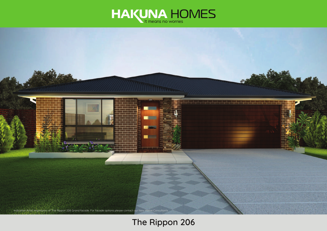



# **The Rippon 206**